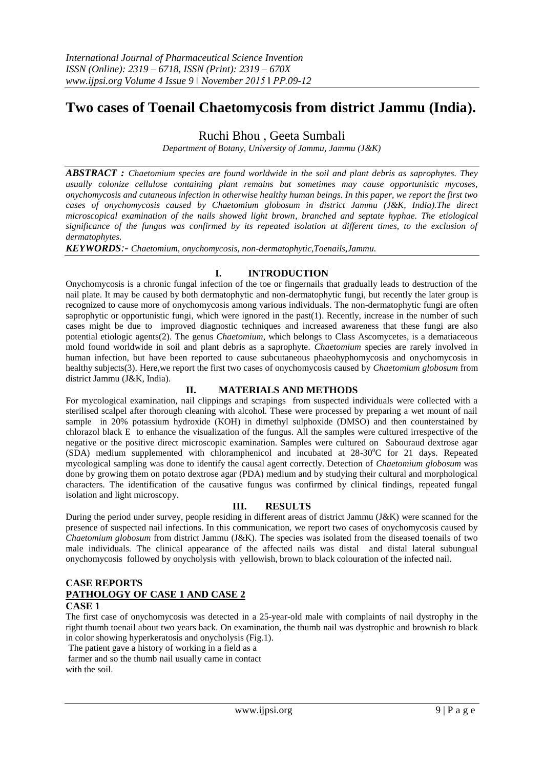# **Two cases of Toenail Chaetomycosis from district Jammu (India).**

Ruchi Bhou , Geeta Sumbali

*Department of Botany, University of Jammu, Jammu (J&K)*

*ABSTRACT : Chaetomium species are found worldwide in the soil and plant debris as saprophytes. They usually colonize cellulose containing plant remains but sometimes may cause opportunistic mycoses, onychomycosis and cutaneous infection in otherwise healthy human beings. In this paper, we report the first two cases of onychomycosis caused by Chaetomium globosum in district Jammu (J&K, India).The direct microscopical examination of the nails showed light brown, branched and septate hyphae. The etiological significance of the fungus was confirmed by its repeated isolation at different times, to the exclusion of dermatophytes.*

*KEYWORDS:- Chaetomium, onychomycosis, non-dermatophytic,Toenails,Jammu.*

# **I. INTRODUCTION**

Onychomycosis is a chronic fungal infection of the toe or fingernails that gradually leads to destruction of the nail plate. It may be caused by both dermatophytic and non-dermatophytic fungi, but recently the later group is recognized to cause more of onychomycosis among various individuals. The non-dermatophytic fungi are often saprophytic or opportunistic fungi, which were ignored in the past(1). Recently, increase in the number of such cases might be due to improved diagnostic techniques and increased awareness that these fungi are also potential etiologic agents(2). The genus *Chaetomium*, which belongs to Class Ascomycetes, is a dematiaceous mold found worldwide in soil and plant debris as a saprophyte*. Chaetomium* species are rarely involved in human infection, but have been reported to cause subcutaneous phaeohyphomycosis and onychomycosis in healthy subjects(3). Here,we report the first two cases of onychomycosis caused by *Chaetomium globosum* from district Jammu (J&K, India).

### **II. MATERIALS AND METHODS**

For mycological examination, nail clippings and scrapings from suspected individuals were collected with a sterilised scalpel after thorough cleaning with alcohol. These were processed by preparing a wet mount of nail sample in 20% potassium hydroxide (KOH) in dimethyl sulphoxide (DMSO) and then counterstained by chlorazol black E to enhance the visualization of the fungus. All the samples were cultured irrespective of the negative or the positive direct microscopic examination. Samples were cultured on Sabouraud dextrose agar (SDA) medium supplemented with chloramphenicol and incubated at  $28-30^{\circ}$ C for 21 days. Repeated mycological sampling was done to identify the causal agent correctly. Detection of *Chaetomium globosum* was done by growing them on potato dextrose agar (PDA) medium and by studying their cultural and morphological characters. The identification of the causative fungus was confirmed by clinical findings, repeated fungal isolation and light microscopy.

## **III. RESULTS**

During the period under survey, people residing in different areas of district Jammu (J&K) were scanned for the presence of suspected nail infections. In this communication, we report two cases of onychomycosis caused by *Chaetomium globosum* from district Jammu (J&K). The species was isolated from the diseased toenails of two male individuals. The clinical appearance of the affected nails was distal and distal lateral subungual onychomycosis followed by onycholysis with yellowish, brown to black colouration of the infected nail.

### **CASE REPORTS PATHOLOGY OF CASE 1 AND CASE 2 CASE 1**

The first case of onychomycosis was detected in a 25-year-old male with complaints of nail dystrophy in the right thumb toenail about two years back. On examination, the thumb nail was dystrophic and brownish to black in color showing hyperkeratosis and onycholysis (Fig.1).

The patient gave a history of working in a field as a

farmer and so the thumb nail usually came in contact with the soil.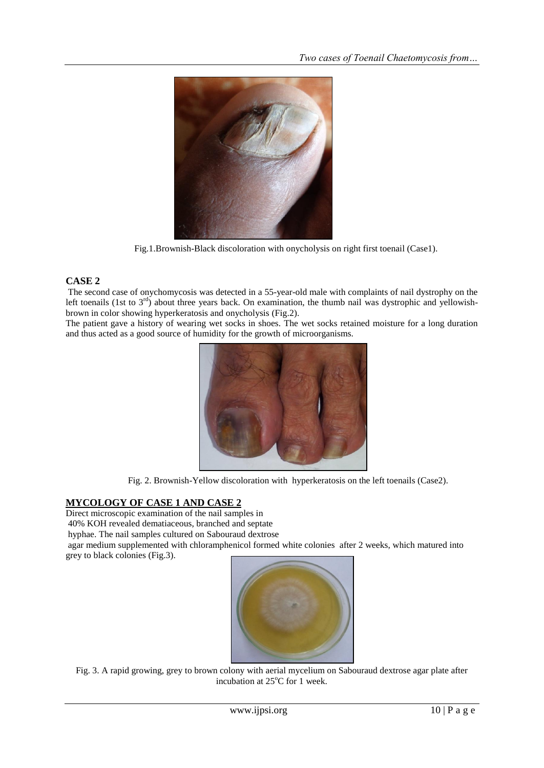

Fig.1.Brownish-Black discoloration with onycholysis on right first toenail (Case1).

# **CASE 2**

The second case of onychomycosis was detected in a 55-year-old male with complaints of nail dystrophy on the left toenails (1st to  $3<sup>rd</sup>$ ) about three years back. On examination, the thumb nail was dystrophic and yellowishbrown in color showing hyperkeratosis and onycholysis (Fig.2).

The patient gave a history of wearing wet socks in shoes. The wet socks retained moisture for a long duration and thus acted as a good source of humidity for the growth of microorganisms.



Fig. 2. Brownish-Yellow discoloration with hyperkeratosis on the left toenails (Case2).

# **MYCOLOGY OF CASE 1 AND CASE 2**

Direct microscopic examination of the nail samples in

40% KOH revealed dematiaceous, branched and septate

hyphae. The nail samples cultured on Sabouraud dextrose

agar medium supplemented with chloramphenicol formed white colonies after 2 weeks, which matured into grey to black colonies (Fig.3).



Fig. 3. A rapid growing, grey to brown colony with aerial mycelium on Sabouraud dextrose agar plate after incubation at  $25^{\circ}$ C for 1 week.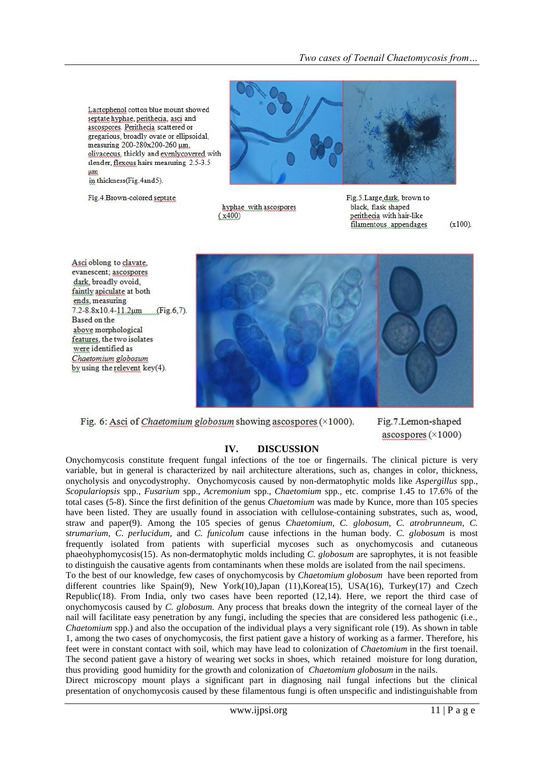Lactophenol cotton blue mount showed septate hyphae, perithecia, asci and ascospores. Perithecia scattered or gregarious, broadly ovate or ellipsoidal, measuring 200-280x200-260 um. olivaceous, thickly and evenlycovered with slender, flexous hairs measuring 2.5-3.5 um in thickness(Fig.4and5).

Fig.4.Brown-colored septate



hyphae with ascospores  $(x400)$ 

Fig.5.Large.dark. brown to black, flask shaped perithecia with hair-like filamentous appendages

 $(x100)$ .

Asci oblong to clayate, evanescent; ascospores dark, broadly ovoid. faintly apiculate at both ends, measuring  $7.2 - 8.8 \times 10.4 - 11.2 \mu m$  $(Fig.6, 7)$ . Based on the above morphological features, the two isolates were identified as Chaetomium globosum by using the relevent key(4).



Fig. 6: Asci of *Chaetomium globosum* showing ascospores  $(\times 1000)$ .

Fig.7.Lemon-shaped ascospores  $(\times 1000)$ 

### **IV. DISCUSSION**

Onychomycosis constitute frequent fungal infections of the toe or fingernails. The clinical picture is very variable, but in general is characterized by nail architecture alterations, such as, changes in color, thickness, onycholysis and onycodystrophy. Onychomycosis caused by non-dermatophytic molds like *Aspergillus* spp., *Scopulariopsis* spp., *Fusarium* spp., *Acremonium* spp., *Chaetomium* spp., etc. comprise 1.45 to 17.6% of the total cases (5-8). Since the first definition of the genus *Chaetomium* was made by Kunce, more than 105 species have been listed. They are usually found in association with cellulose-containing substrates, such as, wood, straw and paper(9). Among the 105 species of genus *Chaetomium, C. globosum, C. atrobrunneum*, *C.* s*trumarium*, *C*. *perlucidum*, and *C. funicolum* cause infections in the human body. *C. globosum* is most frequently isolated from patients with superficial mycoses such as onychomycosis and cutaneous phaeohyphomycosis(15). As non-dermatophytic molds including *C. globosum* are saprophytes, it is not feasible to distinguish the causative agents from contaminants when these molds are isolated from the nail specimens. To the best of our knowledge, few cases of onychomycosis by *Chaetomium globosum* have been reported from different countries like Spain(9), New York(10),Japan (11),Korea(15), USA(16), Turkey(17) and Czech Republic(18). From India, only two cases have been reported (12,14). Here, we report the third case of onychomycosis caused by *C. globosum.* Any process that breaks down the integrity of the corneal layer of the nail will facilitate easy penetration by any fungi, including the species that are considered less pathogenic (i.e., *Chaetomium* spp.) and also the occupation of the individual plays a very significant role (19). As shown in table 1, among the two cases of onychomycosis, the first patient gave a history of working as a farmer. Therefore, his feet were in constant contact with soil, which may have lead to colonization of *Chaetomium* in the first toenail. The second patient gave a history of wearing wet socks in shoes, which retained moisture for long duration, thus providing good humidity for the growth and colonization of *Chaetomium globosum* in the nails. Direct microscopy mount plays a significant part in diagnosing nail fungal infections but the clinical

presentation of onychomycosis caused by these filamentous fungi is often unspecific and indistinguishable from